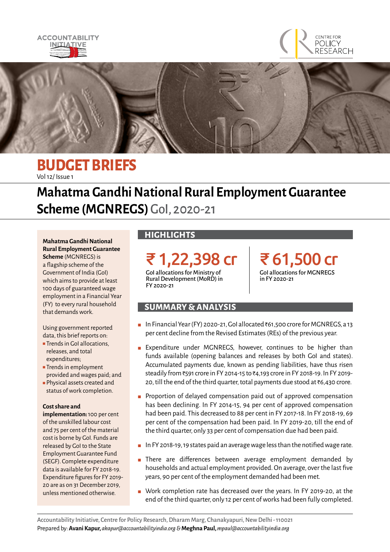





## **BUDGET BRIEFS** Vol 12/ Issue 1

# **Mahatma Gandhi National Rural Employment Guarantee Scheme (MGNREGS)** GoI, 2020-21

**Mahatma Gandhi National Rural Employment Guarantee Scheme** (MGNREGS) is a flagship scheme of the Government of India (GoI) which aims to provide at least 100 days of guaranteed wage employment in a Financial Year (FY) to every rural household that demands work.

Using government reported data, this brief reports on:

- Trends in GoI allocations, releases, and total expenditures;
- Trends in employment provided and wages paid; and
- Physical assets created and status of work completion.

### **Cost share and**

**implementation:** 100 per cent of the unskilled labour cost and 75 per cent of the material cost is borne by GoI. Funds are released by GoI to the State Employment Guarantee Fund (SEGF). Complete expenditure data is available for FY 2018-19. Expenditure figures for FY 2019- 20 are as on 31 December 2019, unless mentioned otherwise.

### **HIGHLIGHTS**

FY 2020-21

₹ 1,22,398 cr GoI allocations for Ministry of Rural Development (MoRD) in

₹ 61,500 cr GoI allocations for MGNREGS in FY 2020-21

### **SUMMARY & ANALYSIS**

- In Financial Year (FY) 2020-21, GoI allocated ₹61,500 crore for MGNREGS, a 13 per cent decline from the Revised Estimates (REs) of the previous year.
- Expenditure under MGNREGS, however, continues to be higher than funds available (opening balances and releases by both GoI and states). Accumulated payments due, known as pending liabilities, have thus risen steadily from ₹591 crore in FY 2014-15 to ₹4,193 crore in FY 2018-19. In FY 2019-20, till the end of the third quarter, total payments due stood at ₹6,430 crore.
- Proportion of delayed compensation paid out of approved compensation has been declining. In FY 2014-15, 94 per cent of approved compensation had been paid. This decreased to 88 per cent in FY 2017-18. In FY 2018-19, 69 per cent of the compensation had been paid. In FY 2019-20, till the end of the third quarter, only 33 per cent of compensation due had been paid.
- In FY 2018-19, 19 states paid an average wage less than the notified wage rate.
- There are differences between average employment demanded by households and actual employment provided. On average, over the last five years, 90 per cent of the employment demanded had been met.
- Work completion rate has decreased over the years. In FY 2019-20, at the end of the third quarter, only 12 per cent of works had been fully completed.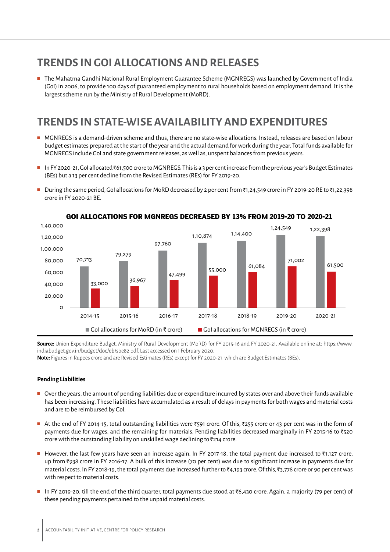# **TRENDS IN GOI ALLOCATIONS AND RELEASES**

■ The Mahatma Gandhi National Rural Employment Guarantee Scheme (MGNREGS) was launched by Government of India (GoI) in 2006, to provide 100 days of guaranteed employment to rural households based on employment demand. It is the largest scheme run by the Ministry of Rural Development (MoRD).

# **TRENDS IN STATE-WISE AVAILABILITY AND EXPENDITURES**

- MGNREGS is a demand-driven scheme and thus, there are no state-wise allocations. Instead, releases are based on labour budget estimates prepared at the start of the year and the actual demand for work during the year. Total funds available for MGNREGS include GoI and state government releases, as well as, unspent balances from previous years.
- In FY 2020-21, GoI allocated `61,500 crore to MGNREGS. This is a 3 per cent increase from the previous year's Budget Estimates (BEs) but a 13 per cent decline from the Revised Estimates (REs) for FY 2019-20.
- During the same period, GoI allocations for MoRD decreased by 2 per cent from ₹1,24,549 crore in FY 2019-20 RE to ₹1,22,398 crore in FY 2020-21 BE.



### **GOI ALLOCATIONS FOR MGNREGS DECREASED BY 13% FROM 2019-20 TO 2020-21**

**Source:** Union Expenditure Budget. Ministry of Rural Development (MoRD) for FY 2015-16 and FY 2020-21. Available online at: [https://www.](https://www.indiabudget.gov.in/budget/doc/eb/sbe82.pdf) [indiabudget.gov.in/budget/doc/eb/sbe82.pdf.](https://www.indiabudget.gov.in/budget/doc/eb/sbe82.pdf) Last accessed on 1 February 2020.

**Note:** Figures in Rupees crore and are Revised Estimates (REs) except for FY 2020-21, which are Budget Estimates (BEs).

#### **Pending Liabilities**

- Over the years, the amount of pending liabilities due or expenditure incurred by states over and above their funds available has been increasing. These liabilities have accumulated as a result of delays in payments for both wages and material costs and are to be reimbursed by GoI.
- At the end of FY 2014-15, total outstanding liabilities were ₹591 crore. Of this, ₹255 crore or 43 per cent was in the form of payments due for wages, and the remaining for materials. Pending liabilities decreased marginally in FY 2015-16 to ₹520 crore with the outstanding liability on unskilled wage declining to  $\bar{\tau}$ 214 crore.
- However, the last few years have seen an increase again. In FY 2017-18, the total payment due increased to ₹1,127 crore, up from `938 crore in FY 2016-17. A bulk of this increase (70 per cent) was due to significant increase in payments due for material costs. In FY 2018-19, the total payments due increased further to ₹4,193 crore. Of this, ₹3,778 crore or 90 per cent was with respect to material costs.
- In FY 2019-20, till the end of the third quarter, total payments due stood at ₹6,430 crore. Again, a majority (79 per cent) of these pending payments pertained to the unpaid material costs.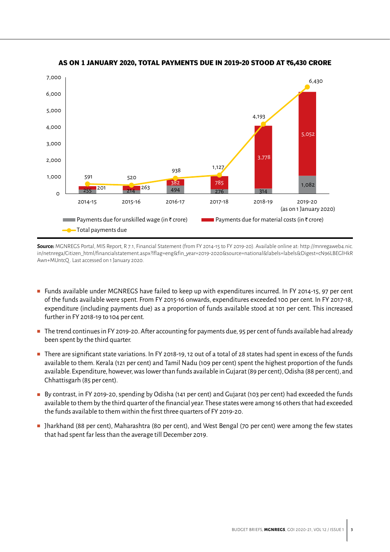

### **AS ON 1 JANUARY 2020, TOTAL PAYMENTS DUE IN 2019-20 STOOD AT** `**6,430 CRORE**

**Source:** MGNREGS Portal, MIS Report, R 7.1, Financial Statement (from FY 2014-15 to FY 2019-20). Available online at: [http://mnregaweb4.nic.](http://mnregaweb4.nic.in/netnrega/Citizen_html/financialstatement.aspx?lflag=eng&fin_year=2019-2020&) [in/netnrega/Citizen\\_html/financialstatement.aspx?lflag=eng&fin\\_year=2019-2020&source=national&labels=labels&Digest=cN96LBEGlHkR](http://mnregaweb4.nic.in/netnrega/Citizen_html/financialstatement.aspx?lflag=eng&fin_year=2019-2020&) [Awn+MUntcQ](http://mnregaweb4.nic.in/netnrega/Citizen_html/financialstatement.aspx?lflag=eng&fin_year=2019-2020&) . Last accessed on 1 January 2020.

- Funds available under MGNREGS have failed to keep up with expenditures incurred. In FY 2014-15, 97 per cent of the funds available were spent. From FY 2015-16 onwards, expenditures exceeded 100 per cent. In FY 2017-18, expenditure (including payments due) as a proportion of funds available stood at 101 per cent. This increased further in FY 2018-19 to 104 per cent.
- The trend continues in FY 2019-20. After accounting for payments due, 95 per cent of funds available had already been spent by the third quarter.
- There are significant state variations. In FY 2018-19, 12 out of a total of 28 states had spent in excess of the funds available to them. Kerala (121 per cent) and Tamil Nadu (109 per cent) spent the highest proportion of the funds available. Expenditure, however, was lower than funds available in Gujarat (89 per cent), Odisha (88 per cent), and Chhattisgarh (85 per cent).
- By contrast, in FY 2019-20, spending by Odisha (141 per cent) and Gujarat (103 per cent) had exceeded the funds available to them by the third quarter of the financial year. These states were among 16 others that had exceeded the funds available to them within the first three quarters of FY 2019-20.
- Jharkhand (88 per cent), Maharashtra (80 per cent), and West Bengal (70 per cent) were among the few states that had spent far less than the average till December 2019.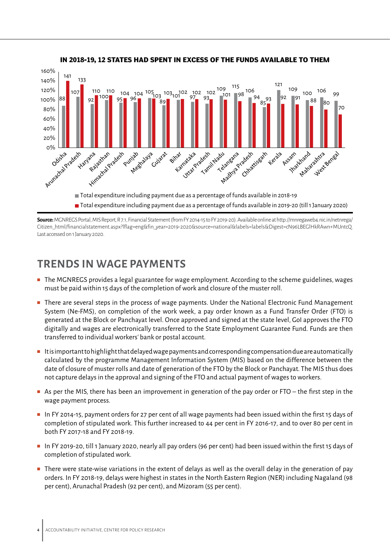

**IN 2018-19, 12 STATES HAD SPENT IN EXCESS OF THE FUNDS AVAILABLE TO THEM**

**Source:** MGNREGS Portal, MIS Report, R 7.1, Financial Statement (from FY 2014-15 to FY 2019-20). Available online at [http://mnregaweb4.nic.in/netnrega/](http://mnregaweb4.nic.in/netnrega/Citizen_html/financialstatement.aspx?lflag=eng&fin_year=2019-2020&) [Citizen\\_html/financialstatement.aspx?lflag=eng&fin\\_year=2019-2020&source=national&labels=labels&Digest=cN96LBEGlHkRAwn+MUntcQ.](http://mnregaweb4.nic.in/netnrega/Citizen_html/financialstatement.aspx?lflag=eng&fin_year=2019-2020&) Last accessed on 1 January 2020.

# **TRENDS IN WAGE PAYMENTS**

- The MGNREGS provides a legal guarantee for wage employment. According to the scheme guidelines, wages must be paid within 15 days of the completion of work and closure of the muster roll.
- There are several steps in the process of wage payments. Under the National Electronic Fund Management System (Ne-FMS), on completion of the work week, a pay order known as a Fund Transfer Order (FTO) is generated at the Block or Panchayat level. Once approved and signed at the state level, GoI approves the FTO digitally and wages are electronically transferred to the State Employment Guarantee Fund. Funds are then transferred to individual workers' bank or postal account.
- Itisimportant to highlight that delayed wage payments and corresponding compensation due are automatically calculated by the programme Management Information System (MIS) based on the difference between the date of closure of muster rolls and date of generation of the FTO by the Block or Panchayat. The MIS thus does not capture delays in the approval and signing of the FTO and actual payment of wages to workers.
- As per the MIS, there has been an improvement in generation of the pay order or FTO the first step in the wage payment process.
- In FY 2014-15, payment orders for 27 per cent of all wage payments had been issued within the first 15 days of completion of stipulated work. This further increased to 44 per cent in FY 2016-17, and to over 80 per cent in both FY 2017-18 and FY 2018-19.
- In FY 2019-20, till 1 January 2020, nearly all pay orders (96 per cent) had been issued within the first 15 days of completion of stipulated work.
- There were state-wise variations in the extent of delays as well as the overall delay in the generation of pay orders. In FY 2018-19, delays were highest in states in the North Eastern Region (NER) including Nagaland (98 per cent), Arunachal Pradesh (92 per cent), and Mizoram (55 per cent).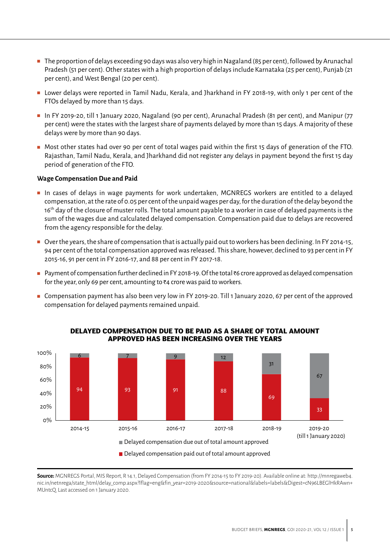- The proportion of delays exceeding 90 days was also very high in Nagaland (85 per cent), followed by Arunachal Pradesh (51 per cent). Other states with a high proportion of delays include Karnataka (25 per cent), Punjab (21 per cent), and West Bengal (20 per cent).
- Lower delays were reported in Tamil Nadu, Kerala, and Jharkhand in FY 2018-19, with only 1 per cent of the FTOs delayed by more than 15 days.
- In FY 2019-20, till 1 January 2020, Nagaland (90 per cent), Arunachal Pradesh (81 per cent), and Manipur (77 per cent) were the states with the largest share of payments delayed by more than 15 days. A majority of these delays were by more than 90 days.
- Most other states had over 90 per cent of total wages paid within the first 15 days of generation of the FTO. Rajasthan, Tamil Nadu, Kerala, and Jharkhand did not register any delays in payment beyond the first 15 day period of generation of the FTO.

### **Wage Compensation Due and Paid**

- In cases of delays in wage payments for work undertaken, MGNREGS workers are entitled to a delayed compensation, at the rate of 0.05 per cent of the unpaid wages per day, for the duration of the delay beyond the 16<sup>th</sup> day of the closure of muster rolls. The total amount payable to a worker in case of delayed payments is the sum of the wages due and calculated delayed compensation. Compensation paid due to delays are recovered from the agency responsible for the delay.
- Over the years, the share of compensation that is actually paid out to workers has been declining. In FY 2014-15, 94 per cent of the total compensation approved was released. This share, however, declined to 93 per cent in FY 2015-16, 91 per cent in FY 2016-17, and 88 per cent in FY 2017-18.
- Payment of compensation further declined in FY 2018-19. Of the total ₹6 crore approved as delayed compensation for the year, only 69 per cent, amounting to  $\bar{\tau}$ 4 crore was paid to workers.
- Compensation payment has also been very low in FY 2019-20. Till 1 January 2020, 67 per cent of the approved compensation for delayed payments remained unpaid.



### **DELAYED COMPENSATION DUE TO BE PAID AS A SHARE OF TOTAL AMOUNT APPROVED HAS BEEN INCREASING OVER THE YEARS**

**Source:** MGNREGS Portal, MIS Report, R 14.1, Delayed Compensation (from FY 2014-15 to FY 2019-20). Available online at: [http://mnregaweb4.](http://mnregaweb4.nic.in/netnrega/state_html/delay_comp.aspx?lflag=eng&fin_year=2019-2020&source=nat) [nic.in/netnrega/state\\_html/delay\\_comp.aspx?lflag=eng&fin\\_year=2019-2020&source=national&labels=labels&Digest=cN96LBEGlHkRAwn+](http://mnregaweb4.nic.in/netnrega/state_html/delay_comp.aspx?lflag=eng&fin_year=2019-2020&source=nat) [MUntcQ](http://mnregaweb4.nic.in/netnrega/state_html/delay_comp.aspx?lflag=eng&fin_year=2019-2020&source=nat). Last accessed on 1 January 2020.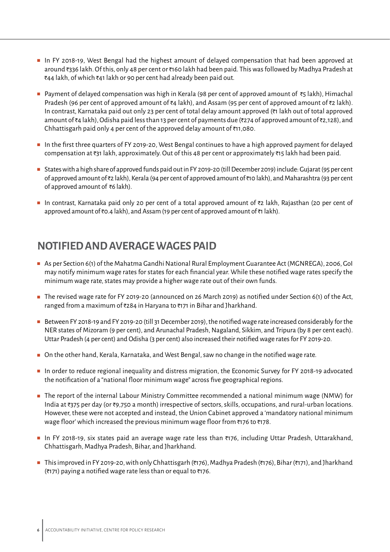- In FY 2018-19, West Bengal had the highest amount of delayed compensation that had been approved at around `336 lakh. Of this, only 48 per cent or `160 lakh had been paid. This was followed by Madhya Pradesh at  $\bar{\xi}$ 44 lakh, of which  $\bar{\xi}$ 41 lakh or 90 per cent had already been paid out.
- Payment of delayed compensation was high in Kerala (98 per cent of approved amount of  $\overline{\tau}_5$  lakh), Himachal Pradesh (96 per cent of approved amount of  $\bar{\tau}$ 4 lakh), and Assam (95 per cent of approved amount of  $\bar{\tau}$ 2 lakh). In contrast, Karnataka paid out only 23 per cent of total delay amount approved (₹1 lakh out of total approved amount of  $\bar{\tau}$ 4 lakh), Odisha paid less than 13 per cent of payments due ( $\bar{\tau}$ 274 of approved amount of  $\bar{\tau}$ 2,128), and Chhattisgarh paid only 4 per cent of the approved delay amount of  $\bar{\tau}$ 11,080.
- In the first three quarters of FY 2019-20, West Bengal continues to have a high approved payment for delayed compensation at  $\bar{\tau}$ 31 lakh, approximately. Out of this 48 per cent or approximately  $\bar{\tau}$ 15 lakh had been paid.
- States with a high share of approved funds paid out in FY 2019-20 (till December 2019) include: Gujarat (95 per cent of approved amount of `2 lakh), Kerala (94 per cent of approved amount of `10 lakh), and Maharashtra (93 per cent of approved amount of  $\bar{\bar{\epsilon}}$  akh).
- In contrast, Karnataka paid only 20 per cent of a total approved amount of ₹2 lakh, Rajasthan (20 per cent of approved amount of  $\bar{\tau}$ 0.4 lakh), and Assam (19 per cent of approved amount of  $\bar{\tau}$ 1 lakh).

### **NOTIFIED AND AVERAGE WAGES PAID**

- As per Section 6(1) of the Mahatma Gandhi National Rural Employment Guarantee Act (MGNREGA), 2006, GoI may notify minimum wage rates for states for each financial year. While these notified wage rates specify the minimum wage rate, states may provide a higher wage rate out of their own funds.
- The revised wage rate for FY 2019-20 (announced on 26 March 2019) as notified under Section 6(1) of the Act, ranged from a maximum of  $z$ 284 in Haryana to  $z$ 171 in Bihar and Jharkhand.
- Between FY 2018-19 and FY 2019-20 (till 31 December 2019), the notified wage rate increased considerably for the NER states of Mizoram (9 per cent), and Arunachal Pradesh, Nagaland, Sikkim, and Tripura (by 8 per cent each). Uttar Pradesh (4 per cent) and Odisha (3 per cent) also increased their notified wage rates for FY 2019-20.
- On the other hand, Kerala, Karnataka, and West Bengal, saw no change in the notified wage rate.
- In order to reduce regional inequality and distress migration, the Economic Survey for FY 2018-19 advocated the notification of a "national floor minimum wage" across five geographical regions.
- The report of the internal Labour Ministry Committee recommended a national minimum wage (NMW) for India at  $\overline{375}$  per day (or  $\overline{39,750}$  a month) irrespective of sectors, skills, occupations, and rural-urban locations. However, these were not accepted and instead, the Union Cabinet approved a 'mandatory national minimum wage floor' which increased the previous minimum wage floor from  $\bar{\tau}$ 176 to  $\bar{\tau}$ 178.
- In FY 2018-19, six states paid an average wage rate less than ₹176, including Uttar Pradesh, Uttarakhand, Chhattisgarh, Madhya Pradesh, Bihar, and Jharkhand.
- This improved in FY 2019-20, with only Chhattisgarh (₹176), Madhya Pradesh (₹176), Bihar (₹171), and Jharkhand ( $\overline{\tau}$ 171) paying a notified wage rate less than or equal to  $\overline{\tau}$ 176.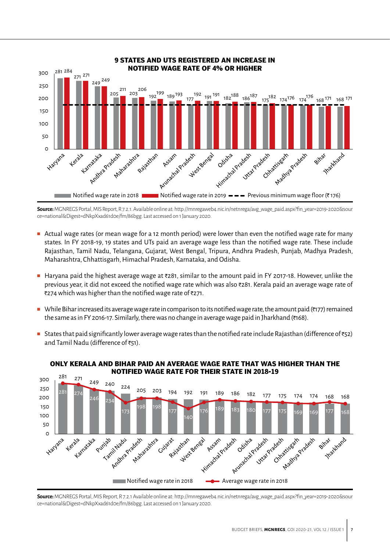

**Source:**MGNREGS Portal, MIS Report, R 7.2.1. Available online at: [http://mnregaweb4.nic.in/netnrega/avg\\_wage\\_paid.aspx?fin\\_year=2019-2020&sour](http://mnregaweb4.nic.in/netnrega/avg_wage_paid.aspx?fin_year=2019-2020&source=national&Digest=dNkpX) [ce=national&Digest=dNkpXxad61d0e/fm/86bgg](http://mnregaweb4.nic.in/netnrega/avg_wage_paid.aspx?fin_year=2019-2020&source=national&Digest=dNkpX). Last accessed on 1 January 2020.

- Actual wage rates (or mean wage for a 12 month period) were lower than even the notified wage rate for many states. In FY 2018-19, 19 states and UTs paid an average wage less than the notified wage rate. These include Rajasthan, Tamil Nadu, Telangana, Gujarat, West Bengal, Tripura, Andhra Pradesh, Punjab, Madhya Pradesh, Maharashtra, Chhattisgarh, Himachal Pradesh, Karnataka, and Odisha.
- Haryana paid the highest average wage at ₹281, similar to the amount paid in FY 2017-18. However, unlike the previous year, it did not exceed the notified wage rate which was also `281. Kerala paid an average wage rate of ₹274 which was higher than the notified wage rate of ₹271.
- While Bihar increased its average wage rate in comparison to its notified wage rate, the amount paid ( $\overline{177}$ ) remained the same as in FY 2016-17. Similarly, there was no change in average wage paid in Jharkhand (₹168).
- States that paid significantly lower average wage rates than the notified rate include Rajasthan (difference of  $\overline{\epsilon}$ 52) and Tamil Nadu (difference of  $\overline{\epsilon}$ 51).



#### ONLY AND BIHAR BAID AN AVERAGE WAGE RATE THAT WAS HIGHER THAT ONLY KERALA AND BIHAR PAID AN AVERAGE WAGE RATE THAT WAS HIGHER THAN THE **NOTIFIED WAGE RATE FOR THEIR STATE IN 2018-19**

**Source:**MGNREGS Portal, MIS Report, R 7.2.1 Available online at: [http://mnregaweb4.nic.in/netnrega/avg\\_wage\\_paid.aspx?fin\\_year=2019-2020&sour](http://mnregaweb4.nic.in/netnrega/avg_wage_paid.aspx?fin_year=2019-2020&source=national&Digest=dNkpX) [ce=national&Digest=dNkpXxad61d0e/fm/86bgg](http://mnregaweb4.nic.in/netnrega/avg_wage_paid.aspx?fin_year=2019-2020&source=national&Digest=dNkpX). Last accessed on 1 January 2020.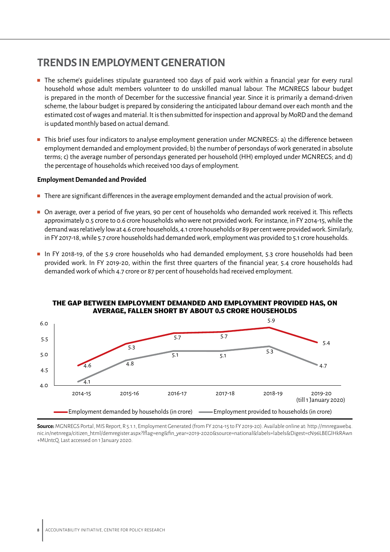### **TRENDS IN EMPLOYMENT GENERATION**

- The scheme's guidelines stipulate guaranteed 100 days of paid work within a financial year for every rural household whose adult members volunteer to do unskilled manual labour. The MGNREGS labour budget is prepared in the month of December for the successive financial year. Since it is primarily a demand-driven scheme, the labour budget is prepared by considering the anticipated labour demand over each month and the estimated cost of wages and material. It is then submitted for inspection and approval by MoRD and the demand is updated monthly based on actual demand.
- This brief uses four indicators to analyse employment generation under MGNREGS: a) the difference between employment demanded and employment provided; b) the number of persondays of work generated in absolute terms; c) the average number of persondays generated per household (HH) employed under MGNREGS; and d) the percentage of households which received 100 days of employment.

### **Employment Demanded and Provided**

- There are significant differences in the average employment demanded and the actual provision of work.
- On average, over a period of five years, 90 per cent of households who demanded work received it. This reflects approximately 0.5 crore to 0.6 crore households who were not provided work. For instance, in FY 2014-15, while the demand was relatively low at 4.6 crore households, 4.1 crore households or 89 per cent were provided work. Similarly, in FY 2017-18, while 5.7 crore households had demanded work, employment was provided to 5.1 crore households.
- In FY 2018-19, of the 5.9 crore households who had demanded employment, 5.3 crore households had been provided work. In FY 2019-20, within the first three quarters of the financial year, 5.4 crore households had demanded work of which 4.7 crore or 87 per cent of households had received employment.



### THE GAP BETWEEN EMPLOYMENT DEMANDED AND EMPLOYMENT PROVIDED HAS, ON **AVERAGE, FALLEN SHORT BY ABOUT 0.5 CRORE HOUSEHOLDS**

**Source:**MGNREGS Portal, MIS Report, R 5.1.1, Employment Generated (from FY 2014-15 to FY 2019-20). Available online at: [http://mnregaweb4.](http://mnregaweb4.nic.in/netnrega/citizen_html/demregister.aspx?lflag=eng&fin_year=2019-2020&source=) [nic.in/netnrega/citizen\\_html/demregister.aspx?lflag=eng&fin\\_year=2019-2020&source=national&labels=labels&Digest=cN96LBEGlHkRAwn](http://mnregaweb4.nic.in/netnrega/citizen_html/demregister.aspx?lflag=eng&fin_year=2019-2020&source=) [+MUntcQ](http://mnregaweb4.nic.in/netnrega/citizen_html/demregister.aspx?lflag=eng&fin_year=2019-2020&source=). Last accessed on 1 January 2020.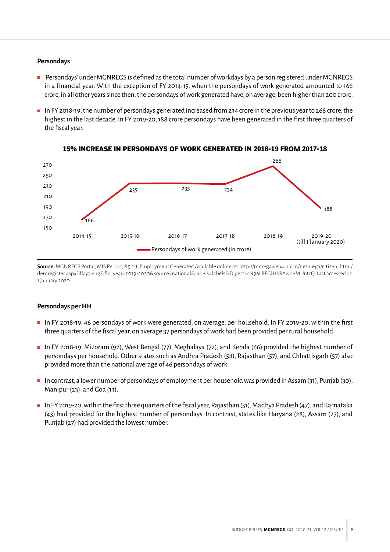### **Persondays**

- 'Persondays' under MGNREGS is defined as the total number of workdays by a person registered under MGNREGS in a financial year. With the exception of FY 2014-15, when the persondays of work generated amounted to 166 crore, in all other years since then, the persondays of work generated have, on average, been higher than 200 crore.
- In FY 2018-19, the number of persondays generated increased from 234 crore in the previous year to 268 crore, the highest in the last decade. In FY 2019-20, 188 crore persondays have been generated in the first three quarters of the fiscal year.



### 15% INCREASE IN PERSONDAYS OF WORK GENERATED IN 2018-19 FROM 2017-18

**Source:**MGNREGS Portal, MIS Report, R 5.1.1, Employment Generated Available online at: [http://mnregaweb4.nic.in/netnrega/citizen\\_html/]( http://mnregaweb4.nic.in/netnrega/citizen_html/demregister.aspx?lflag=eng&fin_year=2019-2020&source) [demregister.aspx?lflag=eng&fin\\_year=2019-2020&source=national&labels=labels&Digest=cN96LBEGlHkRAwn+MUntcQ]( http://mnregaweb4.nic.in/netnrega/citizen_html/demregister.aspx?lflag=eng&fin_year=2019-2020&source). Last accessed on 1 January 2020.

#### **Persondays per HH**

- In FY 2018-19, 46 persondays of work were generated, on average, per household. In FY 2019-20, within the first three quarters of the fiscal year, on average 37 persondays of work had been provided per rural household.
- In FY 2018-19, Mizoram (92), West Bengal (77), Meghalaya (72), and Kerala (66) provided the highest number of persondays per household. Other states such as Andhra Pradesh (58), Rajasthan (57), and Chhattisgarh (57) also provided more than the national average of 46 persondays of work.
- In contrast, a lower number of persondays of employment per household was provided in Assam (31), Punjab (30), Manipur (23), and Goa (13).
- In FY 2019-20, within the first three quarters of the fiscal year, Rajasthan (51), Madhya Pradesh (47), and Karnataka (43) had provided for the highest number of persondays. In contrast, states like Haryana (28), Assam (27), and Punjab (27) had provided the lowest number.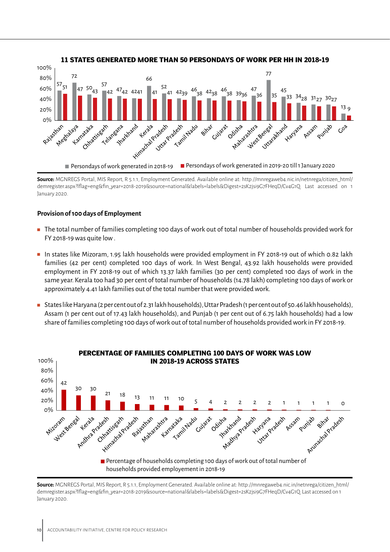

**<sup>11</sup> STATES GENERATED MORE THAN 50 PERSONDAYS OF WORK PER HH IN 2018-19**

### **Provision of 100 days of Employment**

- The total number of families completing 100 days of work out of total number of households provided work for FY 2018-19 was quite low .
- In states like Mizoram, 1.95 lakh households were provided employment in FY 2018-19 out of which 0.82 lakh families (42 per cent) completed 100 days of work. In West Bengal, 43.92 lakh households were provided employment in FY 2018-19 out of which 13.37 lakh families (30 per cent) completed 100 days of work in the same year. Kerala too had 30 per cent of total number of households (14.78 lakh) completing 100 days of work or approximately 4.41 lakh families out of the total number that were provided work.
- States like Haryana (2 per cent out of 2.31 lakh households), Uttar Pradesh (1 per cent out of 50.46 lakh households), Assam (1 per cent out of 17.43 lakh households), and Punjab (1 per cent out of 6.75 lakh households) had a low share of families completing 100 days of work out of total number of households provided work in FY 2018-19.



**Source:** MGNREGS Portal, MIS Report, R 5.1.1, Employment Generated. Available online at: [http://mnregaweb4.nic.in/netnrega/citizen\\_html/](http://mnregaweb4.nic.in/netnrega/citizen_html/demregister.aspx?lflag=eng&fin_year=2018-2019&source=) [demregister.aspx?lflag=eng&fin\\_year=2018-2019&source=national&labels=labels&Digest=2sK2jsi9G7FHeqD/Cv4G1Q](http://mnregaweb4.nic.in/netnrega/citizen_html/demregister.aspx?lflag=eng&fin_year=2018-2019&source=). Last accessed on 1 January 2020.

**Source:** MGNREGS Portal, MIS Report, R 5.1.1, Employment Generated. Available online at: [http://mnregaweb4.nic.in/netnrega/citizen\\_html/](http://mnregaweb4.nic.in/netnrega/citizen_html/demregister.aspx?lflag=eng&fin_year=2018-2019&source=) [demregister.aspx?lflag=eng&fin\\_year=2018-2019&source=national&labels=labels&Digest=2sK2jsi9G7FHeqD/Cv4G1Q](http://mnregaweb4.nic.in/netnrega/citizen_html/demregister.aspx?lflag=eng&fin_year=2018-2019&source=). Last accessed on 1 January 2020.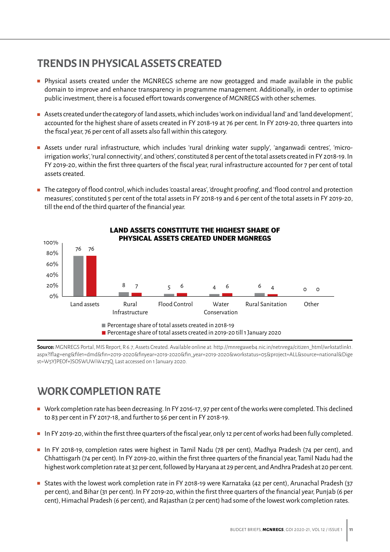# **TRENDS IN PHYSICAL ASSETS CREATED**

- Physical assets created under the MGNREGS scheme are now geotagged and made available in the public domain to improve and enhance transparency in programme management. Additionally, in order to optimise public investment, there is a focused effort towards convergence of MGNREGS with other schemes.
- Assets created under the category of land assets, which includes 'work on individual land' and 'land development', accounted for the highest share of assets created in FY 2018-19 at 76 per cent. In FY 2019-20, three quarters into the fiscal year, 76 per cent of all assets also fall within this category.
- Assets under rural infrastructure, which includes 'rural drinking water supply', 'anganwadi centres', 'microirrigation works', 'rural connectivity', and 'others', constituted 8 per cent of the total assets created in FY 2018-19. In FY 2019-20, within the first three quarters of the fiscal year, rural infrastructure accounted for 7 per cent of total assets created.
- The category of flood control, which includes 'coastal areas', 'drought proofing', and 'flood control and protection measures', constituted 5 per cent of the total assets in FY 2018-19 and 6 per cent of the total assets in FY 2019-20, till the end of the third quarter of the financial year.



**Source:**MGNREGS Portal, MIS Report, R 6.7, Assets Created. Available online at: [http://mnregaweb4.nic.in/netnrega/citizen\\_html/wrkstatlink1.](http://mnregaweb4.nic.in/netnrega/citizen_html/wrkstatlink1.aspx?lflag=eng&file1=dmd&fin=2019-2020&f) [aspx?lflag=eng&file1=dmd&fin=2019-2020&finyear=2019-2020&fin\\_year=2019-2020&workstatus=05&project=ALL&source=national&Dige](http://mnregaweb4.nic.in/netnrega/citizen_html/wrkstatlink1.aspx?lflag=eng&file1=dmd&fin=2019-2020&f) [st=W5YJPEOf+JSOSWUWiW473Q](http://mnregaweb4.nic.in/netnrega/citizen_html/wrkstatlink1.aspx?lflag=eng&file1=dmd&fin=2019-2020&f). Last accessed on 1 January 2020.

# **WORK COMPLETION RATE**

- Work completion rate has been decreasing. In FY 2016-17, 97 per cent of the works were completed. This declined to 83 per cent in FY 2017-18, and further to 56 per cent in FY 2018-19.
- In FY 2019-20, within the first three quarters of the fiscal year, only 12 per cent of works had been fully completed.
- In FY 2018-19, completion rates were highest in Tamil Nadu (78 per cent), Madhya Pradesh (74 per cent), and Chhattisgarh (74 per cent). In FY 2019-20, within the first three quarters of the financial year, Tamil Nadu had the highest work completion rate at 32 per cent, followed by Haryana at 29 per cent, and Andhra Pradesh at 20 per cent.
- States with the lowest work completion rate in FY 2018-19 were Karnataka (42 per cent), Arunachal Pradesh (37 per cent), and Bihar (31 per cent). In FY 2019-20, within the first three quarters of the financial year, Punjab (6 per cent), Himachal Pradesh (6 per cent), and Rajasthan (2 per cent) had some of the lowest work completion rates.